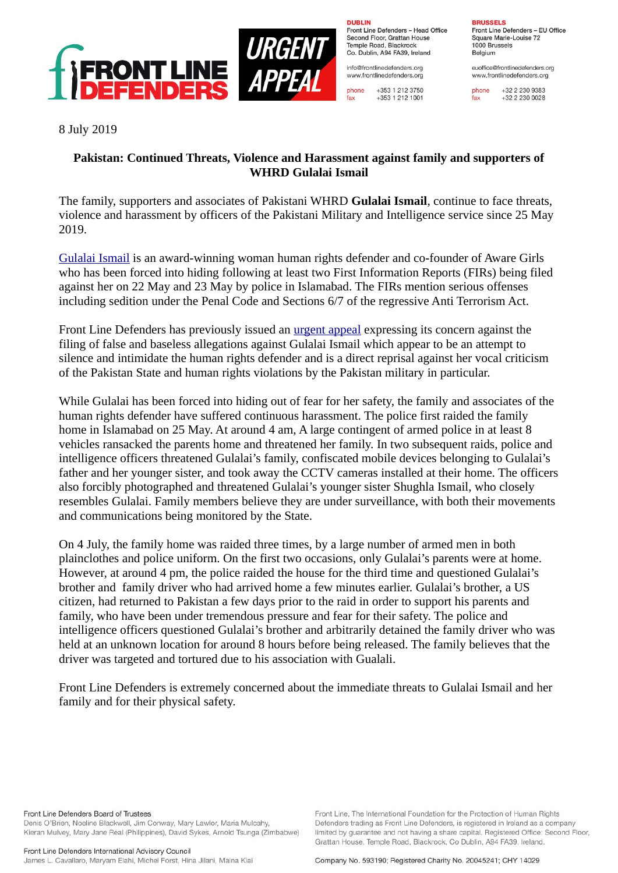

**DURLIN** Front Line Defenders - Head Office Second Floor, Grattan House Temple Boad, Blackrock Co. Dublin, A94 FA39, Ireland

info@frontlinedefenders.org www.frontlinedefenders.org

+353 1 212 3750 phone fax +353 1 212 1001 **BDHCCELC** 

Front Line Defenders - EU Office Square Marie-Louise 72 1000 Brussels Belgium

euoffice@frontlinedefenders.org www.frontlinedefenders.org

phone +32 2 230 9383 fax +32 2 230 0028

8 July 2019

## **Pakistan: Continued Threats, Violence and Harassment against family and supporters of WHRD Gulalai Ismail**

The family, supporters and associates of Pakistani WHRD **Gulalai Ismail**, continue to face threats, violence and harassment by officers of the Pakistani Military and Intelligence service since 25 May 2019.

[Gulalai Ismail](https://www.frontlinedefenders.org/en/profile/gulalai-ismail) is an award-winning woman human rights defender and co-founder of Aware Girls who has been forced into hiding following at least two First Information Reports (FIRs) being filed against her on 22 May and 23 May by police in Islamabad. The FIRs mention serious offenses including sedition under the Penal Code and Sections 6/7 of the regressive Anti Terrorism Act.

Front Line Defenders has previously issued an [urgent appeal](https://www.frontlinedefenders.org/en/case/police-file-first-information-report-charging-gulalai-ismail-under-anti-terrorism-act) expressing its concern against the filing of false and baseless allegations against Gulalai Ismail which appear to be an attempt to silence and intimidate the human rights defender and is a direct reprisal against her vocal criticism of the Pakistan State and human rights violations by the Pakistan military in particular.

While Gulalai has been forced into hiding out of fear for her safety, the family and associates of the human rights defender have suffered continuous harassment. The police first raided the family home in Islamabad on 25 May. At around 4 am, A large contingent of armed police in at least 8 vehicles ransacked the parents home and threatened her family. In two subsequent raids, police and intelligence officers threatened Gulalai's family, confiscated mobile devices belonging to Gulalai's father and her younger sister, and took away the CCTV cameras installed at their home. The officers also forcibly photographed and threatened Gulalai's younger sister Shughla Ismail, who closely resembles Gulalai. Family members believe they are under surveillance, with both their movements and communications being monitored by the State.

On 4 July, the family home was raided three times, by a large number of armed men in both plainclothes and police uniform. On the first two occasions, only Gulalai's parents were at home. However, at around 4 pm, the police raided the house for the third time and questioned Gulalai's brother and family driver who had arrived home a few minutes earlier. Gulalai's brother, a US citizen, had returned to Pakistan a few days prior to the raid in order to support his parents and family, who have been under tremendous pressure and fear for their safety. The police and intelligence officers questioned Gulalai's brother and arbitrarily detained the family driver who was held at an unknown location for around 8 hours before being released. The family believes that the driver was targeted and tortured due to his association with Gualali.

Front Line Defenders is extremely concerned about the immediate threats to Gulalai Ismail and her family and for their physical safety.

Front Line Defenders Board of Trustees Denis O'Brien, Noeline Blackwell, Jim Conway, Mary Lawlor, Maria Mulcahy, Kieran Mulvey, Mary Jane Real (Philippines), David Sykes, Arnold Tsunga (Zimbabwe) Front Line. The International Foundation for the Protection of Human Rights

Defenders trading as Front Line Defenders, is registered in Ireland as a company

limited by guarantee and not having a share capital. Registered Office: Second Floor,